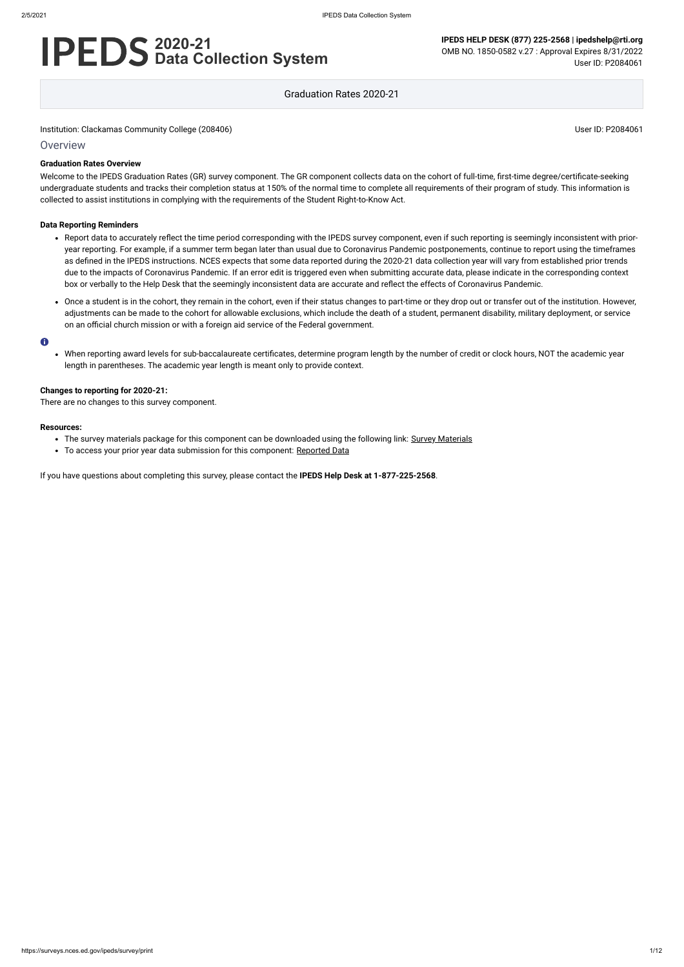# **2020-21 Data Collection System**

**IPEDS HELP DESK (877) 225-2568 | ipedshelp@rti.org** OMB NO. 1850-0582 v.27 : Approval Expires 8/31/2022 User ID: P2084061

Graduation Rates 2020-21

Institution: Clackamas Community College (208406) Notice and South America Community College (208406)

### **Overview**

### **Graduation Rates Overview**

Welcome to the IPEDS Graduation Rates (GR) survey component. The GR component collects data on the cohort of full-time, first-time degree/certificate-seeking undergraduate students and tracks their completion status at 150% of the normal time to complete all requirements of their program of study. This information is collected to assist institutions in complying with the requirements of the Student Right-to-Know Act.

### **Data Reporting Reminders**

- The survey materials package for this component can be downloaded using the following link: [Survey Materials](https://surveys.nces.ed.gov/ipeds/public/survey-materials/index)
- To access your prior year data submission for this component: [Reported Data](https://surveys.nces.ed.gov/IPEDS_py/DataForms.aspx?f0e9e4efc4dfb8adabb3afabb1a1eef0edf1e0f4c4dfb8afa1f0eee0edc4dfb8cbadabb3afabb1aca1f0e9e4efc9dce8e0b8bee7dcdee6dce8dcee9bbeeae8e8f0e9e4eff49bbeeae7e7e0e2e0a1ebedeadee0eeeeb8e0f3efe0ede9dce7a1eddfefb8adaab0aaadabadac9bb2b5aeadb5abb19bcbc8)
- Report data to accurately reflect the time period corresponding with the IPEDS survey component, even if such reporting is seemingly inconsistent with prioryear reporting. For example, if a summer term began later than usual due to Coronavirus Pandemic postponements, continue to report using the timeframes as defined in the IPEDS instructions. NCES expects that some data reported during the 2020-21 data collection year will vary from established prior trends due to the impacts of Coronavirus Pandemic. If an error edit is triggered even when submitting accurate data, please indicate in the corresponding context box or verbally to the Help Desk that the seemingly inconsistent data are accurate and reflect the effects of Coronavirus Pandemic.
- Once a student is in the cohort, they remain in the cohort, even if their status changes to part-time or they drop out or transfer out of the institution. However, adjustments can be made to the cohort for allowable exclusions, which include the death of a student, permanent disability, military deployment, or service on an official church mission or with a foreign aid service of the Federal government.

#### $\bullet$

When reporting award levels for sub-baccalaureate certificates, determine program length by the number of credit or clock hours, NOT the academic year length in parentheses. The academic year length is meant only to provide context.

There are no changes to this survey component.

#### **Resources:**

#### **Changes to reporting for 2020-21:**

If you have questions about completing this survey, please contact the **IPEDS Help Desk at 1-877-225-2568**.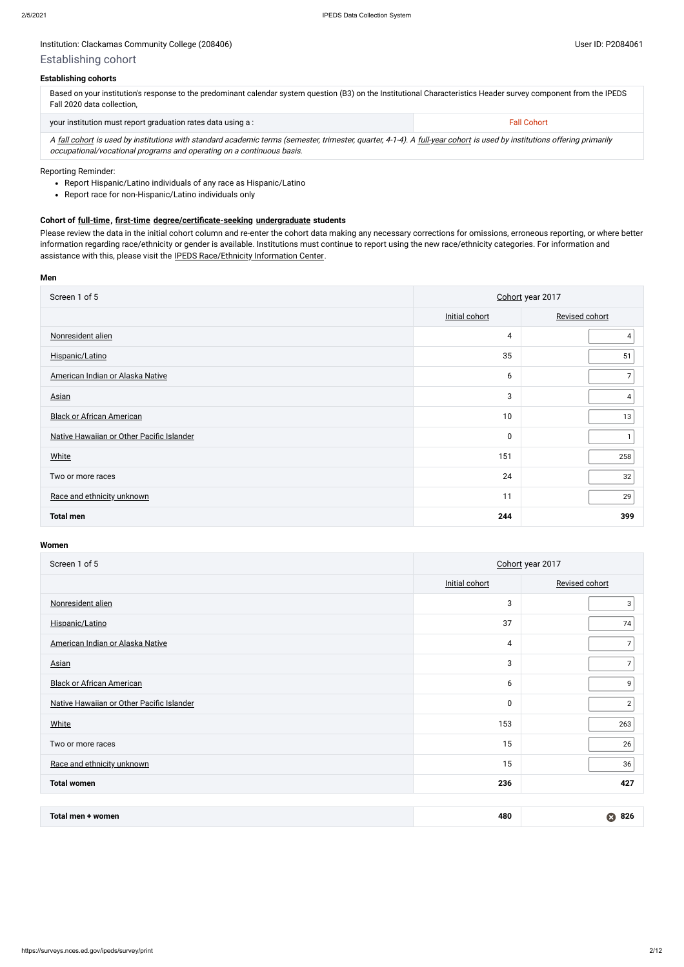## Institution: Clackamas Community College (208406) **Distribution: Clackamas Community College (208406)** User ID: P2084061

| Based on your institution's response to the predominant calendar system question (B3) on the Institutional Characteristics Header survey component from the IPEDS<br>Fall 2020 data collection, |                    |  |  |  |
|-------------------------------------------------------------------------------------------------------------------------------------------------------------------------------------------------|--------------------|--|--|--|
| your institution must report graduation rates data using a:                                                                                                                                     | <b>Fall Cohort</b> |  |  |  |
|                                                                                                                                                                                                 |                    |  |  |  |

A [fall cohort](javascript:openglossary(219)) is used by institutions with standard academic terms (semester, trimester, quarter, 4-1-4). A [full-year cohort](javascript:openglossary(261)) is used by institutions offering primarily occupational/vocational programs and operating on a continuous basis.

- Report Hispanic/Latino individuals of any race as Hispanic/Latino
- Report race for non-Hispanic/Latino individuals only

### **Establishing cohorts**

### Reporting Reminder:

### **Cohort of [full-time](javascript:openglossary(259)), [first-time](javascript:openglossary(241)) [degree/certificate-seeking](javascript:openglossary(171)) [undergraduate](javascript:openglossary(677)) students**

Please review the data in the initial cohort column and re-enter the cohort data making any necessary corrections for omissions, erroneous reporting, or where better information regarding race/ethnicity or gender is available. Institutions must continue to report using the new race/ethnicity categories. For information and assistance with this, please visit the [IPEDS Race/Ethnicity Information Center](https://nces.ed.gov/ipeds/report-your-data/resource-center-race-ethnicity).

### **Men**

| Screen 1 of 5                             | Cohort year 2017 |                |  |  |
|-------------------------------------------|------------------|----------------|--|--|
|                                           | Initial cohort   | Revised cohort |  |  |
| Nonresident alien                         | $\overline{4}$   |                |  |  |
| Hispanic/Latino                           | 35               | 51             |  |  |
| American Indian or Alaska Native          | 6                | $\overline{7}$ |  |  |
| <b>Asian</b>                              | 3                | 4              |  |  |
| <b>Black or African American</b>          | 10               | 13             |  |  |
| Native Hawaiian or Other Pacific Islander | $\pmb{0}$        | 1              |  |  |
| <b>White</b>                              | 151              | 258            |  |  |
| Two or more races                         | 24               | 32             |  |  |
| Race and ethnicity unknown                | 11               | 29             |  |  |
| <b>Total men</b>                          | 244              | 399            |  |  |

### **Women**

| Screen 1 of 5                             | Cohort year 2017 |                |  |  |
|-------------------------------------------|------------------|----------------|--|--|
|                                           | Initial cohort   | Revised cohort |  |  |
| Nonresident alien                         | 3                | 3              |  |  |
| Hispanic/Latino                           | 37               | 74             |  |  |
| American Indian or Alaska Native          | 4                | 7              |  |  |
| <b>Asian</b>                              | 3                | 7              |  |  |
| <b>Black or African American</b>          | 6                | 9              |  |  |
| Native Hawaiian or Other Pacific Islander | $\pmb{0}$        | $\overline{2}$ |  |  |
| <b>White</b>                              | 153              | 263            |  |  |
| Two or more races                         | 15               | 26             |  |  |
| Race and ethnicity unknown                | 15               | 36             |  |  |
| <b>Total women</b>                        | 236              | 427            |  |  |

| Total men<br>women<br>the contract of the contract of the contract of the contract of the contract of the contract of the contract of | 480 | ี่ 82เ |
|---------------------------------------------------------------------------------------------------------------------------------------|-----|--------|
|---------------------------------------------------------------------------------------------------------------------------------------|-----|--------|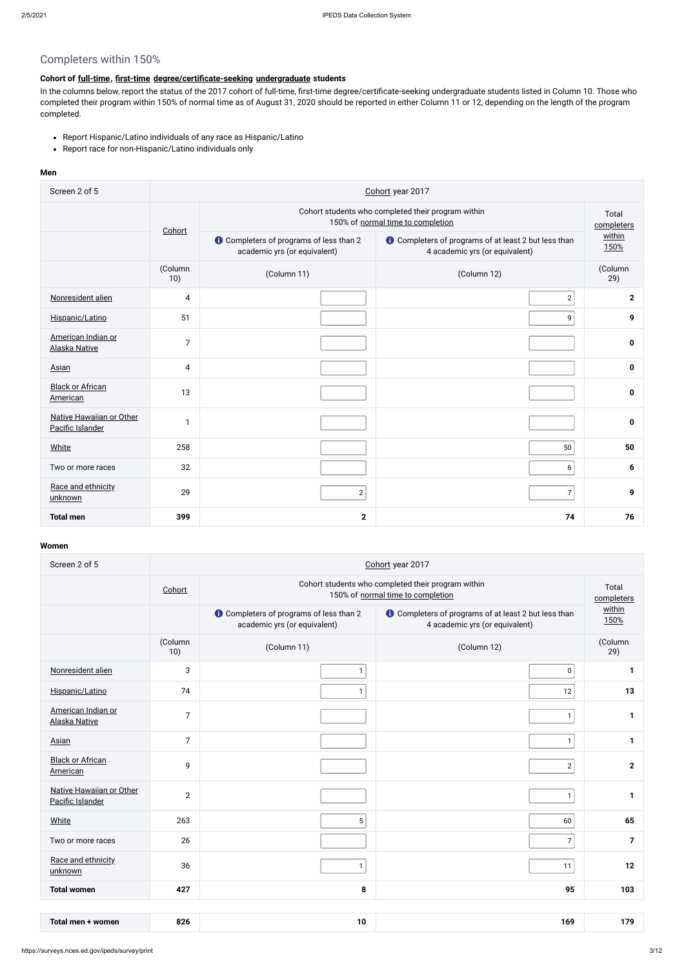# Completers within 150%

## **Cohort of [full-time](javascript:openglossary(259)), [first-time](javascript:openglossary(241)) [degree/certificate-seeking](javascript:openglossary(171)) [undergraduate](javascript:openglossary(677)) students**

- Report Hispanic/Latino individuals of any race as Hispanic/Latino
- Report race for non-Hispanic/Latino individuals only

In the columns below, report the status of the 2017 cohort of full-time, first-time degree/certificate-seeking undergraduate students listed in Column 10. Those who completed their program within 150% of normal time as of August 31, 2020 should be reported in either Column 11 or 12, depending on the length of the program completed.

### **Men**

| Screen 2 of 5                                | Cohort year 2017 |                                                                                         |                                                                                               |                |  |  |  |
|----------------------------------------------|------------------|-----------------------------------------------------------------------------------------|-----------------------------------------------------------------------------------------------|----------------|--|--|--|
|                                              | Cohort           | Cohort students who completed their program within<br>150% of normal time to completion |                                                                                               |                |  |  |  |
|                                              |                  | <b>O</b> Completers of programs of less than 2<br>academic yrs (or equivalent)          | <b>O</b> Completers of programs of at least 2 but less than<br>4 academic yrs (or equivalent) | within<br>150% |  |  |  |
|                                              | (Column<br>10)   | (Column 11)                                                                             | (Column 12)                                                                                   | (Column<br>29) |  |  |  |
| Nonresident alien                            | 4                |                                                                                         | $\mathbf{2}$                                                                                  | $\overline{2}$ |  |  |  |
| Hispanic/Latino                              | 51               |                                                                                         | 9                                                                                             | 9              |  |  |  |
| American Indian or<br><b>Alaska Native</b>   | $\overline{7}$   |                                                                                         |                                                                                               | 0              |  |  |  |
| Asian                                        | 4                |                                                                                         |                                                                                               | 0              |  |  |  |
| <b>Black or African</b><br>American          | 13               |                                                                                         |                                                                                               | 0              |  |  |  |
| Native Hawaiian or Other<br>Pacific Islander | $\mathbf{1}$     |                                                                                         |                                                                                               | 0              |  |  |  |
| White                                        | 258              |                                                                                         | 50                                                                                            | 50             |  |  |  |
| Two or more races                            | 32               |                                                                                         | $\boldsymbol{6}$                                                                              | 6              |  |  |  |
| Race and ethnicity<br>unknown                | 29               | $\mathbf{2}$                                                                            | $\boldsymbol{7}$                                                                              | 9              |  |  |  |
| <b>Total men</b>                             | 399              | $\mathbf{2}$                                                                            | 74                                                                                            | 76             |  |  |  |

### **Women**

| Screen 2 of 5                                | Cohort year 2017 |                                                                                         |                                                                                               |                |  |  |  |  |
|----------------------------------------------|------------------|-----------------------------------------------------------------------------------------|-----------------------------------------------------------------------------------------------|----------------|--|--|--|--|
|                                              | Cohort           | Cohort students who completed their program within<br>150% of normal time to completion |                                                                                               |                |  |  |  |  |
|                                              |                  | <b>O</b> Completers of programs of less than 2<br>academic yrs (or equivalent)          | <b>O</b> Completers of programs of at least 2 but less than<br>4 academic yrs (or equivalent) |                |  |  |  |  |
|                                              | (Column<br>10)   | (Column 11)                                                                             | (Column 12)                                                                                   | (Column<br>29) |  |  |  |  |
| Nonresident alien                            | 3                | $\mathbf{1}$                                                                            | $\pmb{0}$                                                                                     | 1              |  |  |  |  |
| Hispanic/Latino                              | 74               | $\mathbf{1}$                                                                            | 12                                                                                            | 13             |  |  |  |  |
| American Indian or<br><b>Alaska Native</b>   | $\overline{7}$   |                                                                                         | $\mathbf{1}$                                                                                  | 1              |  |  |  |  |
| <b>Asian</b>                                 | $\overline{7}$   |                                                                                         | $\mathbf{1}$                                                                                  | $\mathbf{1}$   |  |  |  |  |
| <b>Black or African</b><br>American          | 9                |                                                                                         | $\mathbf{2}$                                                                                  | $\mathbf{2}$   |  |  |  |  |
| Native Hawaiian or Other<br>Pacific Islander | $\overline{2}$   |                                                                                         | $\mathbf{1}$                                                                                  | 1              |  |  |  |  |
| <b>White</b>                                 | 263              | 5                                                                                       | 60                                                                                            | 65             |  |  |  |  |
| Two or more races                            | 26               |                                                                                         | $\overline{7}$                                                                                | $\overline{7}$ |  |  |  |  |
| Race and ethnicity<br>unknown                | 36               | $\mathbf{1}$                                                                            | 11                                                                                            | 12             |  |  |  |  |
| <b>Total women</b>                           | 427              | 8                                                                                       | 95                                                                                            | 103            |  |  |  |  |

| Total men<br>women | 826 | Ю<br>$\cdot$ $\cdot$ | 169 | . . |
|--------------------|-----|----------------------|-----|-----|
|--------------------|-----|----------------------|-----|-----|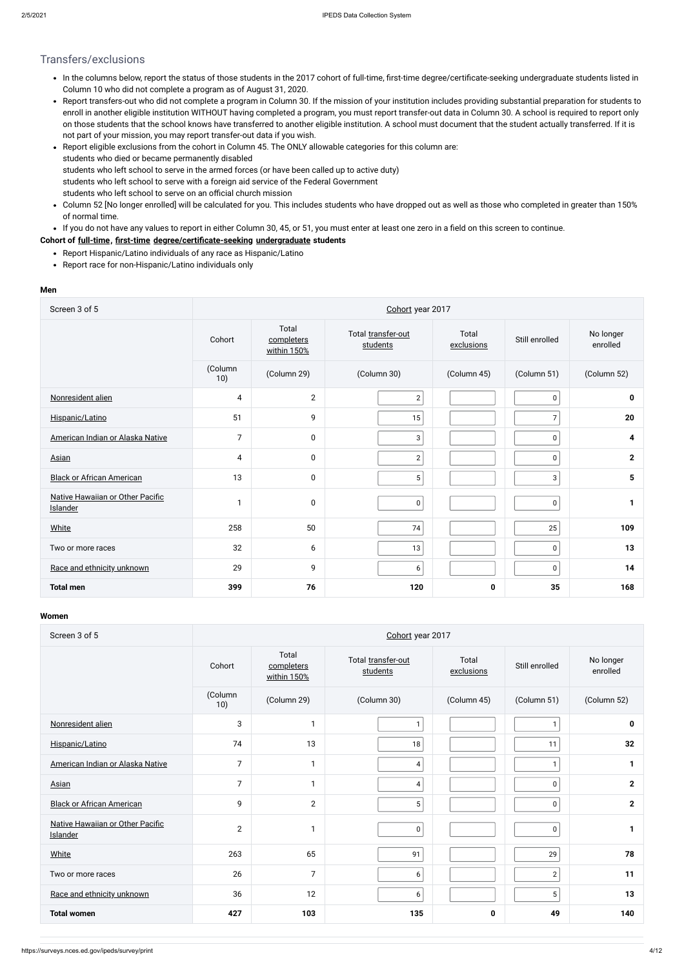## Transfers/exclusions

- In the columns below, report the status of those students in the 2017 cohort of full-time, first-time degree/certificate-seeking undergraduate students listed in Column 10 who did not complete a program as of August 31, 2020.
- Report transfers-out who did not complete a program in Column 30. If the mission of your institution includes providing substantial preparation for students to enroll in another eligible institution WITHOUT having completed a program, you must report transfer-out data in Column 30. A school is required to report only on those students that the school knows have transferred to another eligible institution. A school must document that the student actually transferred. If it is not part of your mission, you may report transfer-out data if you wish.
- Report eligible exclusions from the cohort in Column 45. The ONLY allowable categories for this column are:  $\bullet$ students who died or became permanently disabled students who left school to serve in the armed forces (or have been called up to active duty) students who left school to serve with a foreign aid service of the Federal Government students who left school to serve on an official church mission
- Column 52 [No longer enrolled] will be calculated for you. This includes students who have dropped out as well as those who completed in greater than 150% of normal time.
- If you do not have any values to report in either Column 30, 45, or 51, you must enter at least one zero in a field on this screen to continue.

### **Cohort of [full-time](javascript:openglossary(259)), [first-time](javascript:openglossary(241)) [degree/certificate-seeking](javascript:openglossary(171)) [undergraduate](javascript:openglossary(677)) students**

- Report Hispanic/Latino individuals of any race as Hispanic/Latino
- Report race for non-Hispanic/Latino individuals only

#### **Men**

| Screen 3 of 5                                |                |                                    | Cohort year 2017               |                     |                |                       |
|----------------------------------------------|----------------|------------------------------------|--------------------------------|---------------------|----------------|-----------------------|
|                                              | Cohort         | Total<br>completers<br>within 150% | Total transfer-out<br>students | Total<br>exclusions | Still enrolled | No longer<br>enrolled |
|                                              | (Column<br>10) | (Column 29)                        | (Column 30)                    | (Column 45)         | (Column 51)    | (Column 52)           |
| Nonresident alien                            | 4              | $\overline{2}$                     | $\mathbf{2}$                   |                     | $\mathbf 0$    | 0                     |
| Hispanic/Latino                              | 51             | 9                                  | 15                             |                     | $\overline{7}$ | 20                    |
| American Indian or Alaska Native             | $\overline{7}$ | $\mathbf 0$                        | $\mathbf{3}$                   |                     | $\pmb{0}$      | 4                     |
| Asian                                        | 4              | $\mathbf 0$                        | $2 \overline{ }$               |                     | $\pmb{0}$      | $\mathbf{2}$          |
| <b>Black or African American</b>             | 13             | $\pmb{0}$                          | 5 <sup>1</sup>                 |                     | 3              | 5                     |
| Native Hawaiian or Other Pacific<br>Islander | 1              | $\mathbf 0$                        | 0                              |                     | $\pmb{0}$      | 1                     |
| <b>White</b>                                 | 258            | 50                                 | 74                             |                     | 25             | 109                   |
| Two or more races                            | 32             | 6                                  | 13                             |                     | 0              | 13                    |
| Race and ethnicity unknown                   | 29             | 9                                  | 6                              |                     | $\pmb{0}$      | 14                    |
| <b>Total men</b>                             | 399            | 76                                 | 120                            | 0                   | 35             | 168                   |

#### **Women**

| Screen 3 of 5                                |                |                                    | Cohort year 2017               |                     |                 |                       |
|----------------------------------------------|----------------|------------------------------------|--------------------------------|---------------------|-----------------|-----------------------|
|                                              | Cohort         | Total<br>completers<br>within 150% | Total transfer-out<br>students | Total<br>exclusions | Still enrolled  | No longer<br>enrolled |
|                                              | (Column<br>10) | (Column 29)                        | (Column 30)                    | (Column 45)         | (Column 51)     | (Column 52)           |
| Nonresident alien                            | 3              | 1                                  | 1                              |                     | $\mathbf{1}$    | 0                     |
| Hispanic/Latino                              | 74             | 13                                 | 18                             |                     | 11              | 32                    |
| American Indian or Alaska Native             | $\overline{7}$ | 1                                  | 4                              |                     | $\mathbf{1}$    | $\mathbf{1}$          |
| Asian                                        | $\overline{7}$ | 1                                  | 4                              |                     | $\mathbf 0$     | $\mathbf{2}$          |
| <b>Black or African American</b>             | 9              | $\overline{2}$                     | 5                              |                     | $\pmb{0}$       | $\mathbf{2}$          |
| Native Hawaiian or Other Pacific<br>Islander | $\overline{2}$ | -1                                 | $\mathbf 0$                    |                     | 0               | 1                     |
| <b>White</b>                                 | 263            | 65                                 | 91                             |                     | 29              | 78                    |
| Two or more races                            | 26             | $\overline{7}$                     | 6                              |                     | $\mathbf{2}$    | 11                    |
| Race and ethnicity unknown                   | 36             | 12                                 | 6                              |                     | $5\overline{)}$ | 13                    |
| <b>Total women</b>                           | 427            | 103                                | 135                            | 0                   | 49              | 140                   |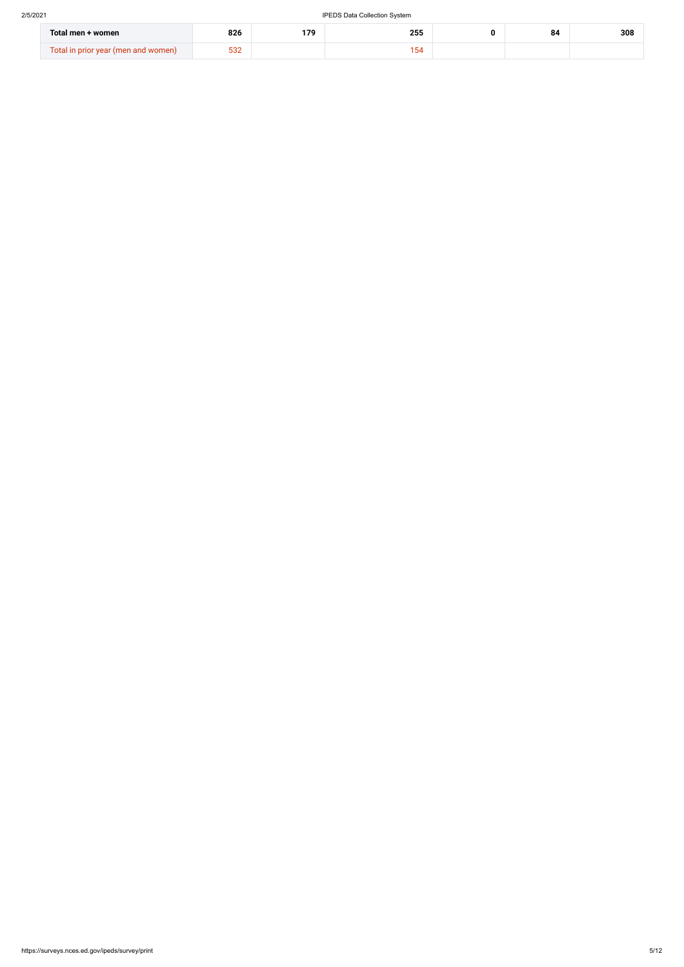| Total men + women                   | 826           | 170 | 255  | 84 | 308 |
|-------------------------------------|---------------|-----|------|----|-----|
| Total in prior year (men and women) | $\sim$<br>ےںں |     | 1 F. |    |     |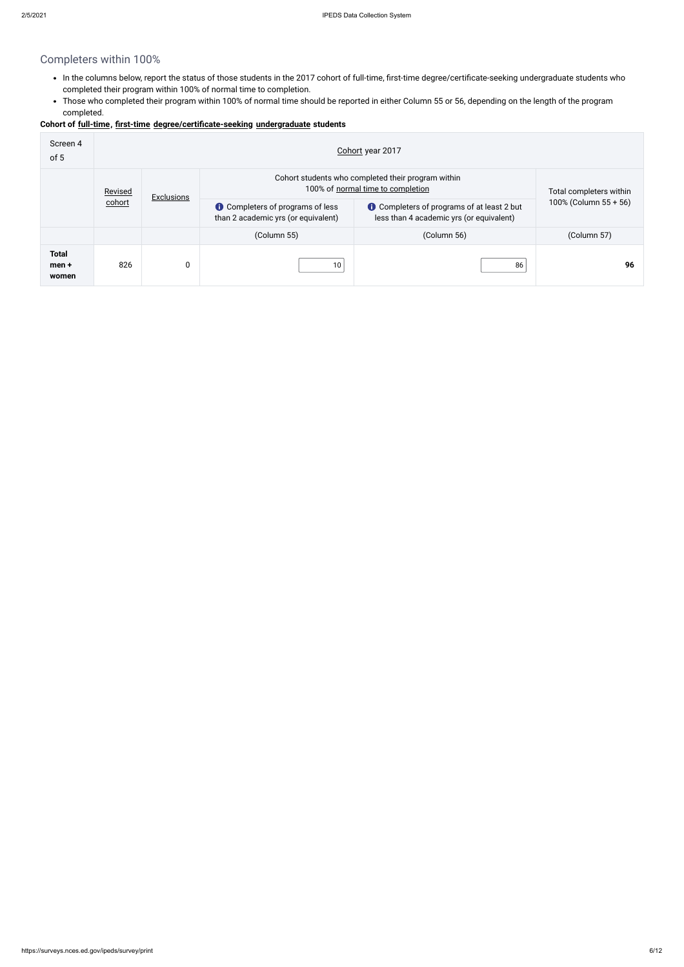# Completers within 100%

- In the columns below, report the status of those students in the 2017 cohort of full-time, first-time degree/certificate-seeking undergraduate students who completed their program within 100% of normal time to completion.
- Those who completed their program within 100% of normal time should be reported in either Column 55 or 56, depending on the length of the program completed.

### **Cohort of [full-time](javascript:openglossary(259)), [first-time](javascript:openglossary(241)) [degree/certificate-seeking](javascript:openglossary(171)) [undergraduate](javascript:openglossary(677)) students**

| Screen 4<br>of 5               | Cohort year 2017 |                                                                                                              |                                                                                                                                                                                 |             |                       |  |  |  |  |
|--------------------------------|------------------|--------------------------------------------------------------------------------------------------------------|---------------------------------------------------------------------------------------------------------------------------------------------------------------------------------|-------------|-----------------------|--|--|--|--|
|                                | Revised          | Cohort students who completed their program within<br>100% of normal time to completion<br><b>Exclusions</b> |                                                                                                                                                                                 |             |                       |  |  |  |  |
|                                | cohort           |                                                                                                              | <b>t</b> Completers of programs of at least 2 but<br><b>C</b> Completers of programs of less<br>than 2 academic yrs (or equivalent)<br>less than 4 academic yrs (or equivalent) |             | 100% (Column 55 + 56) |  |  |  |  |
|                                |                  |                                                                                                              | (Column 55)                                                                                                                                                                     | (Column 56) | (Column 57)           |  |  |  |  |
| <b>Total</b><br>men +<br>women | 826              | 0                                                                                                            | 10                                                                                                                                                                              | 86          | 96                    |  |  |  |  |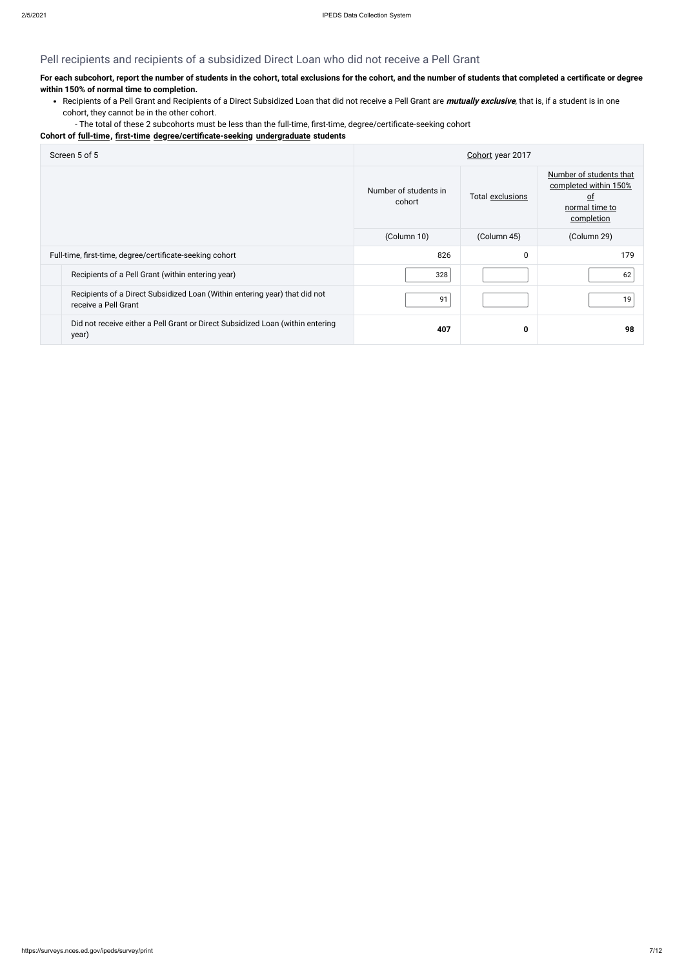# Pell recipients and recipients of a subsidized Direct Loan who did not receive a Pell Grant

## **For each subcohort, report the number of students in the cohort, total exclusions for the cohort, and the number of students that completed a certificate or degree within 150% of normal time to completion.**

- Recipients of a Pell Grant and Recipients of a Direct Subsidized Loan that did not receive a Pell Grant are **mutually exclusive**, that is, if a student is in one cohort, they cannot be in the other cohort.
	- The total of these 2 subcohorts must be less than the full-time, first-time, degree/certificate-seeking cohort

### **Cohort of [full-time](javascript:openglossary(259)), [first-time](javascript:openglossary(241)) [degree/certificate-seeking](javascript:openglossary(171)) [undergraduate](javascript:openglossary(677)) students**

| Screen 5 of 5                                                                                      |                                 | Cohort year 2017 |                                                                                               |
|----------------------------------------------------------------------------------------------------|---------------------------------|------------------|-----------------------------------------------------------------------------------------------|
|                                                                                                    | Number of students in<br>cohort | Total exclusions | Number of students that<br>completed within 150%<br><u>of</u><br>normal time to<br>completion |
|                                                                                                    | (Column 10)                     | (Column 45)      | (Column 29)                                                                                   |
| Full-time, first-time, degree/certificate-seeking cohort                                           | 826                             | 0                | 179                                                                                           |
| Recipients of a Pell Grant (within entering year)                                                  | 328                             |                  | 62                                                                                            |
| Recipients of a Direct Subsidized Loan (Within entering year) that did not<br>receive a Pell Grant | 91                              |                  | 19                                                                                            |
| Did not receive either a Pell Grant or Direct Subsidized Loan (within entering<br>year)            | 407                             | 0                | 98                                                                                            |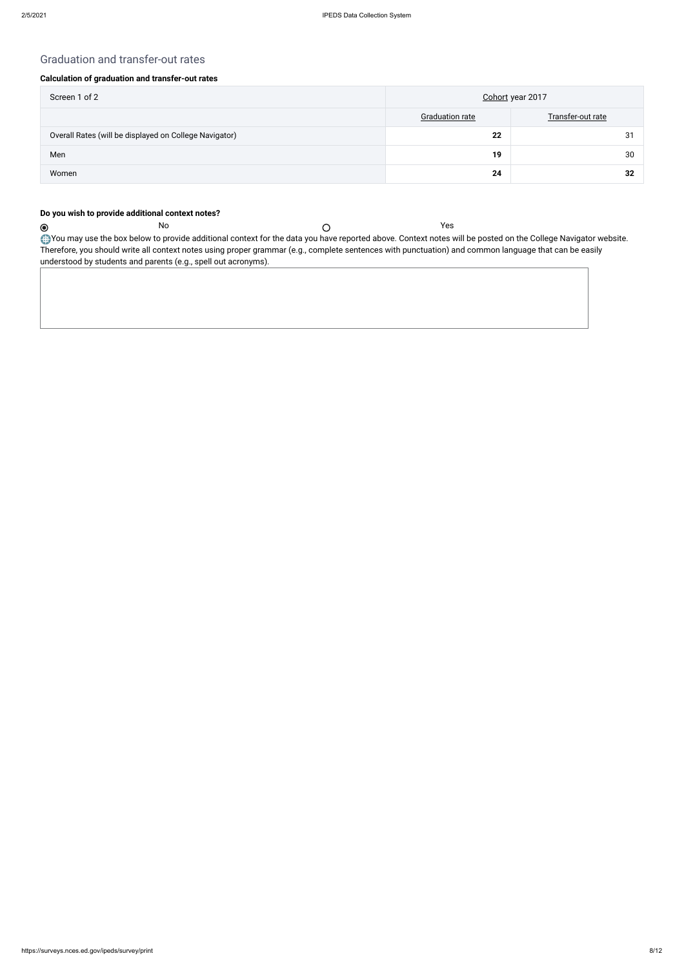$\odot$ 

## Graduation and transfer-out rates

### **Calculation of graduation and transfer-out rates**

| Screen 1 of 2                                          | Cohort year 2017       |                   |  |
|--------------------------------------------------------|------------------------|-------------------|--|
|                                                        | <b>Graduation rate</b> | Transfer-out rate |  |
| Overall Rates (will be displayed on College Navigator) | 22                     | 31                |  |
| Men                                                    | 19                     | 30                |  |
| Women                                                  | 24                     | 32                |  |

You may use the box below to provide additional context for the data you have reported above. Context notes will be posted on the College Navigator website. Therefore, you should write all context notes using proper grammar (e.g., complete sentences with punctuation) and common language that can be easily understood by students and parents (e.g., spell out acronyms).

### **Do you wish to provide additional context notes?**

No Yes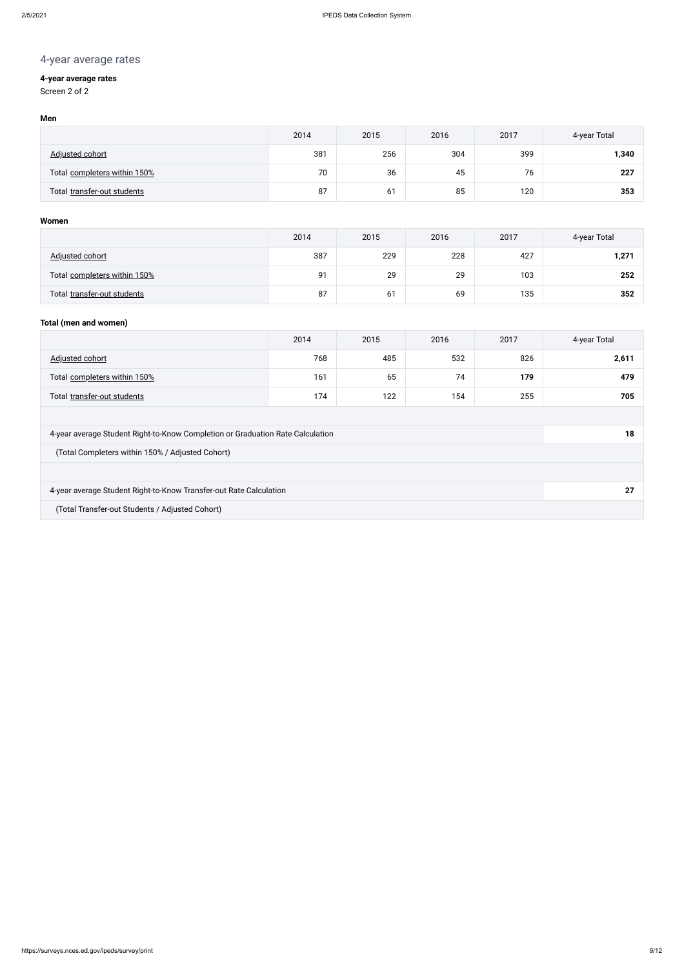# 4-year average rates

## **4-year average rates**

Screen 2 of 2

### **Men**

|                              | 2014 | 2015 | 2016 | 2017 | 4-year Total |
|------------------------------|------|------|------|------|--------------|
| <b>Adjusted cohort</b>       | 381  | 256  | 304  | 399  | 1,340        |
| Total completers within 150% | 70   | 36   | 45   | 76   | 227          |
| Total transfer-out students  | 87   | 61   | 85   | 120  | 353          |

### **Women**

|                              | 2014 | 2015 | 2016 | 2017 | 4-year Total |
|------------------------------|------|------|------|------|--------------|
| Adjusted cohort              | 387  | 229  | 228  | 427  | 1,271        |
| Total completers within 150% | 91   | 29   | 29   | 103  | 252          |
| Total transfer-out students  | 87   | 61   | 69   | 135  | 352          |

### **Total (men and women)**

|                                                                                | 2014 | 2015 | 2016 | 2017 | 4-year Total |  |
|--------------------------------------------------------------------------------|------|------|------|------|--------------|--|
| Adjusted cohort                                                                | 768  | 485  | 532  | 826  | 2,611        |  |
| Total completers within 150%                                                   | 161  | 65   | 74   | 179  | 479          |  |
| Total transfer-out students                                                    | 174  | 122  | 154  | 255  | 705          |  |
|                                                                                |      |      |      |      |              |  |
| 4-year average Student Right-to-Know Completion or Graduation Rate Calculation |      |      |      |      | 18           |  |
| (Total Completers within 150% / Adjusted Cohort)                               |      |      |      |      |              |  |
|                                                                                |      |      |      |      |              |  |
| 4-year average Student Right-to-Know Transfer-out Rate Calculation<br>27       |      |      |      |      |              |  |
| (Total Transfer-out Students / Adjusted Cohort)                                |      |      |      |      |              |  |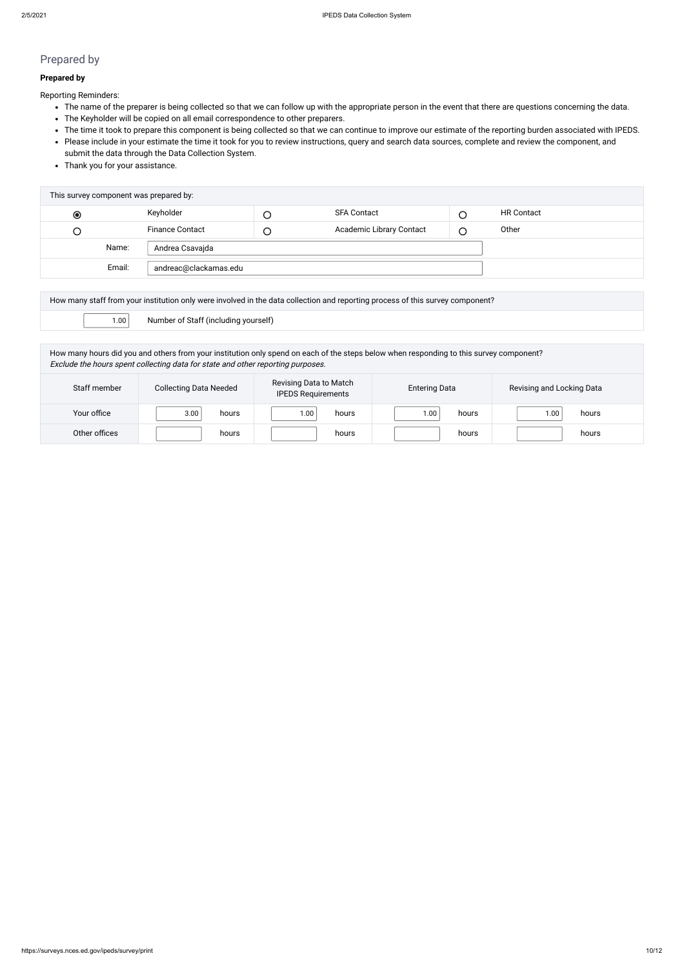# Prepared by

### **Prepared by**

Reporting Reminders:

- The name of the preparer is being collected so that we can follow up with the appropriate person in the event that there are questions concerning the data.
- The Keyholder will be copied on all email correspondence to other preparers.
- The time it took to prepare this component is being collected so that we can continue to improve our estimate of the reporting burden associated with IPEDS.
- Please include in your estimate the time it took for you to review instructions, query and search data sources, complete and review the component, and submit the data through the Data Collection System.
- Thank you for your assistance.

| This survey component was prepared by: |        |                        |        |                                 |   |                   |  |
|----------------------------------------|--------|------------------------|--------|---------------------------------|---|-------------------|--|
| $\bullet$                              |        | Keyholder              |        | <b>SFA Contact</b>              |   | <b>HR Contact</b> |  |
| Э                                      |        | <b>Finance Contact</b> | $\cup$ | <b>Academic Library Contact</b> | ⌒ | Other             |  |
|                                        | Name:  | Andrea Csavajda        |        |                                 |   |                   |  |
|                                        | Email: | andreac@clackamas.edu  |        |                                 |   |                   |  |
|                                        |        |                        |        |                                 |   |                   |  |

| How many staff from your institution only were involved in the data collection and reporting process of this survey component? |                                      |  |  |  |
|--------------------------------------------------------------------------------------------------------------------------------|--------------------------------------|--|--|--|
| 1.00                                                                                                                           | Number of Staff (including yourself) |  |  |  |

How many hours did you and others from your institution only spend on each of the steps below when responding to this survey component? Exclude the hours spent collecting data for state and other reporting purposes.

| Staff member  | <b>Collecting Data Needed</b> | Revising Data to Match<br><b>IPEDS Requirements</b> | <b>Entering Data</b>       | Revising and Locking Data |
|---------------|-------------------------------|-----------------------------------------------------|----------------------------|---------------------------|
| Your office   | 3.00<br>hours                 | 00. ا<br>hours                                      | 1.00 <sub>1</sub><br>hours | hours<br>1.00             |
| Other offices | hours                         | hours                                               | hours                      | hours                     |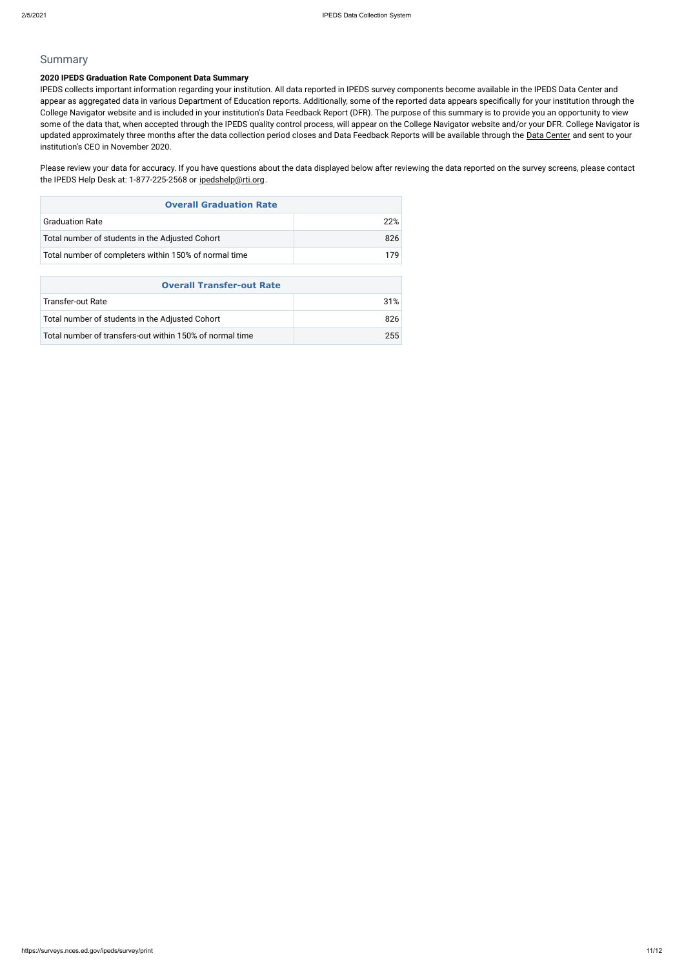### Summary

### **2020 IPEDS Graduation Rate Component Data Summary**

Please review your data for accuracy. If you have questions about the data displayed below after reviewing the data reported on the survey screens, please contact the IPEDS Help Desk at: 1-877-225-2568 or [ipedshelp@rti.org](mailto:ipedshelp@rti.org).

IPEDS collects important information regarding your institution. All data reported in IPEDS survey components become available in the IPEDS Data Center and appear as aggregated data in various Department of Education reports. Additionally, some of the reported data appears specifically for your institution through the College Navigator website and is included in your institution's Data Feedback Report (DFR). The purpose of this summary is to provide you an opportunity to view some of the data that, when accepted through the IPEDS quality control process, will appear on the College Navigator website and/or your DFR. College Navigator is updated approximately three months after the data collection period closes and Data Feedback Reports will be available through the [Data Center](https://nces.ed.gov/ipeds/use-the-data) and sent to your institution's CEO in November 2020.

| <b>Overall Graduation Rate</b>                        |      |
|-------------------------------------------------------|------|
| <b>Graduation Rate</b>                                | 22%  |
| Total number of students in the Adjusted Cohort       | 826. |
| Total number of completers within 150% of normal time | 179  |

| <b>Overall Transfer-out Rate</b>                         |      |
|----------------------------------------------------------|------|
| Transfer-out Rate                                        | 31%  |
| Total number of students in the Adjusted Cohort          | 826. |
| Total number of transfers-out within 150% of normal time | 255  |